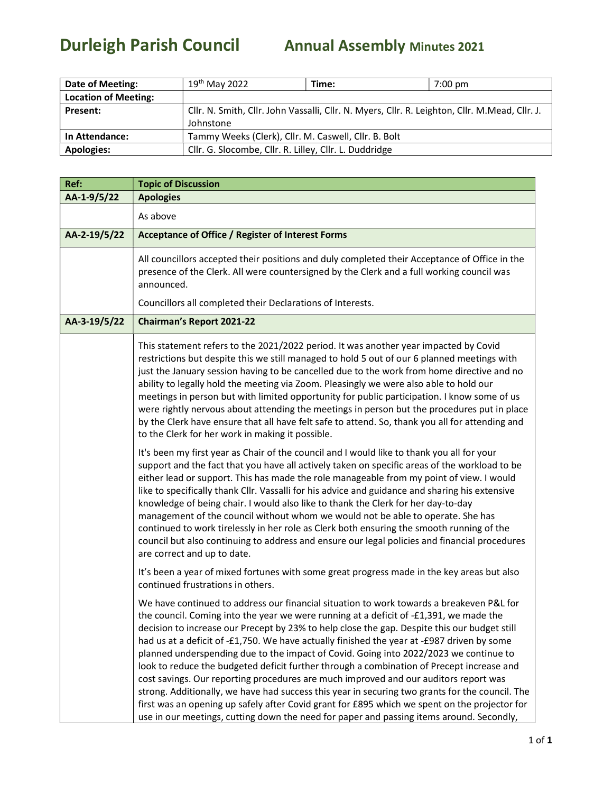## Durleigh Parish Council Annual Assembly Minutes 2021

| Date of Meeting:            | $19th$ May 2022                                                                                 | Time: | $7:00$ pm |
|-----------------------------|-------------------------------------------------------------------------------------------------|-------|-----------|
| <b>Location of Meeting:</b> |                                                                                                 |       |           |
| <b>Present:</b>             | Cllr. N. Smith, Cllr. John Vassalli, Cllr. N. Myers, Cllr. R. Leighton, Cllr. M. Mead, Cllr. J. |       |           |
|                             | Johnstone                                                                                       |       |           |
| <b>In Attendance:</b>       | Tammy Weeks (Clerk), Cllr. M. Caswell, Cllr. B. Bolt                                            |       |           |
| <b>Apologies:</b>           | Cllr. G. Slocombe, Cllr. R. Lilley, Cllr. L. Duddridge                                          |       |           |

| Ref:         | <b>Topic of Discussion</b>                                                                                                                                                                                                                                                                                                                                                                                                                                                                                                                                                                                                                                                                                                                                                                      |  |
|--------------|-------------------------------------------------------------------------------------------------------------------------------------------------------------------------------------------------------------------------------------------------------------------------------------------------------------------------------------------------------------------------------------------------------------------------------------------------------------------------------------------------------------------------------------------------------------------------------------------------------------------------------------------------------------------------------------------------------------------------------------------------------------------------------------------------|--|
| AA-1-9/5/22  | <b>Apologies</b>                                                                                                                                                                                                                                                                                                                                                                                                                                                                                                                                                                                                                                                                                                                                                                                |  |
|              | As above                                                                                                                                                                                                                                                                                                                                                                                                                                                                                                                                                                                                                                                                                                                                                                                        |  |
| AA-2-19/5/22 | <b>Acceptance of Office / Register of Interest Forms</b>                                                                                                                                                                                                                                                                                                                                                                                                                                                                                                                                                                                                                                                                                                                                        |  |
|              | All councillors accepted their positions and duly completed their Acceptance of Office in the<br>presence of the Clerk. All were countersigned by the Clerk and a full working council was<br>announced.                                                                                                                                                                                                                                                                                                                                                                                                                                                                                                                                                                                        |  |
|              | Councillors all completed their Declarations of Interests.                                                                                                                                                                                                                                                                                                                                                                                                                                                                                                                                                                                                                                                                                                                                      |  |
| AA-3-19/5/22 | <b>Chairman's Report 2021-22</b>                                                                                                                                                                                                                                                                                                                                                                                                                                                                                                                                                                                                                                                                                                                                                                |  |
|              | This statement refers to the 2021/2022 period. It was another year impacted by Covid<br>restrictions but despite this we still managed to hold 5 out of our 6 planned meetings with<br>just the January session having to be cancelled due to the work from home directive and no<br>ability to legally hold the meeting via Zoom. Pleasingly we were also able to hold our<br>meetings in person but with limited opportunity for public participation. I know some of us<br>were rightly nervous about attending the meetings in person but the procedures put in place<br>by the Clerk have ensure that all have felt safe to attend. So, thank you all for attending and<br>to the Clerk for her work in making it possible.                                                                |  |
|              | It's been my first year as Chair of the council and I would like to thank you all for your<br>support and the fact that you have all actively taken on specific areas of the workload to be<br>either lead or support. This has made the role manageable from my point of view. I would<br>like to specifically thank Cllr. Vassalli for his advice and guidance and sharing his extensive<br>knowledge of being chair. I would also like to thank the Clerk for her day-to-day<br>management of the council without whom we would not be able to operate. She has<br>continued to work tirelessly in her role as Clerk both ensuring the smooth running of the<br>council but also continuing to address and ensure our legal policies and financial procedures<br>are correct and up to date. |  |
|              | It's been a year of mixed fortunes with some great progress made in the key areas but also<br>continued frustrations in others.                                                                                                                                                                                                                                                                                                                                                                                                                                                                                                                                                                                                                                                                 |  |
|              | We have continued to address our financial situation to work towards a breakeven P&L for<br>the council. Coming into the year we were running at a deficit of -£1,391, we made the<br>decision to increase our Precept by 23% to help close the gap. Despite this our budget still<br>had us at a deficit of -£1,750. We have actually finished the year at -£987 driven by some<br>planned underspending due to the impact of Covid. Going into 2022/2023 we continue to<br>look to reduce the budgeted deficit further through a combination of Precept increase and<br>cost savings. Our reporting procedures are much improved and our auditors report was<br>strong. Additionally, we have had success this year in securing two grants for the council. The                               |  |
|              | first was an opening up safely after Covid grant for £895 which we spent on the projector for<br>use in our meetings, cutting down the need for paper and passing items around. Secondly,                                                                                                                                                                                                                                                                                                                                                                                                                                                                                                                                                                                                       |  |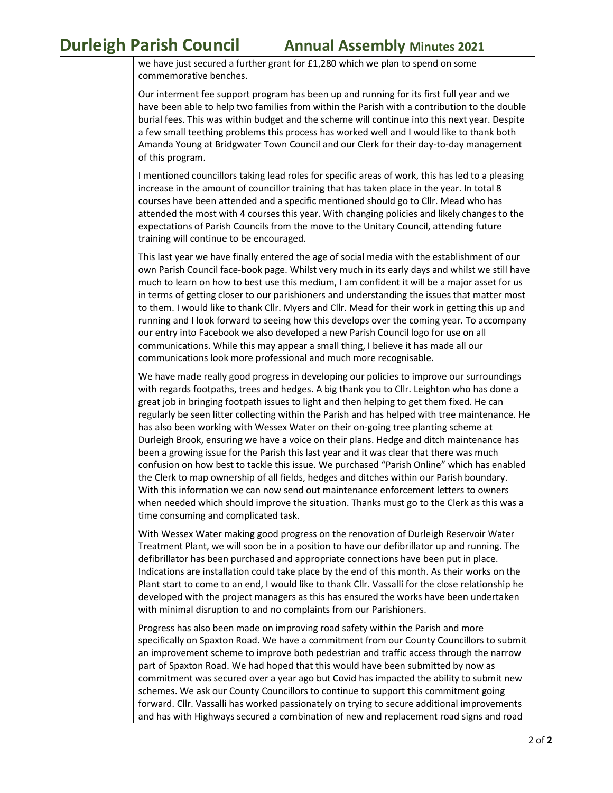**Durleigh Parish Council Annual Assembly Minutes 2021** 

we have just secured a further grant for £1,280 which we plan to spend on some commemorative benches.

Our interment fee support program has been up and running for its first full year and we have been able to help two families from within the Parish with a contribution to the double burial fees. This was within budget and the scheme will continue into this next year. Despite a few small teething problems this process has worked well and I would like to thank both Amanda Young at Bridgwater Town Council and our Clerk for their day-to-day management of this program.

I mentioned councillors taking lead roles for specific areas of work, this has led to a pleasing increase in the amount of councillor training that has taken place in the year. In total 8 courses have been attended and a specific mentioned should go to Cllr. Mead who has attended the most with 4 courses this year. With changing policies and likely changes to the expectations of Parish Councils from the move to the Unitary Council, attending future training will continue to be encouraged.

This last year we have finally entered the age of social media with the establishment of our own Parish Council face-book page. Whilst very much in its early days and whilst we still have much to learn on how to best use this medium, I am confident it will be a major asset for us in terms of getting closer to our parishioners and understanding the issues that matter most to them. I would like to thank Cllr. Myers and Cllr. Mead for their work in getting this up and running and I look forward to seeing how this develops over the coming year. To accompany our entry into Facebook we also developed a new Parish Council logo for use on all communications. While this may appear a small thing, I believe it has made all our communications look more professional and much more recognisable.

We have made really good progress in developing our policies to improve our surroundings with regards footpaths, trees and hedges. A big thank you to Cllr. Leighton who has done a great job in bringing footpath issues to light and then helping to get them fixed. He can regularly be seen litter collecting within the Parish and has helped with tree maintenance. He has also been working with Wessex Water on their on-going tree planting scheme at Durleigh Brook, ensuring we have a voice on their plans. Hedge and ditch maintenance has been a growing issue for the Parish this last year and it was clear that there was much confusion on how best to tackle this issue. We purchased "Parish Online" which has enabled the Clerk to map ownership of all fields, hedges and ditches within our Parish boundary. With this information we can now send out maintenance enforcement letters to owners when needed which should improve the situation. Thanks must go to the Clerk as this was a time consuming and complicated task.

With Wessex Water making good progress on the renovation of Durleigh Reservoir Water Treatment Plant, we will soon be in a position to have our defibrillator up and running. The defibrillator has been purchased and appropriate connections have been put in place. Indications are installation could take place by the end of this month. As their works on the Plant start to come to an end, I would like to thank Cllr. Vassalli for the close relationship he developed with the project managers as this has ensured the works have been undertaken with minimal disruption to and no complaints from our Parishioners.

Progress has also been made on improving road safety within the Parish and more specifically on Spaxton Road. We have a commitment from our County Councillors to submit an improvement scheme to improve both pedestrian and traffic access through the narrow part of Spaxton Road. We had hoped that this would have been submitted by now as commitment was secured over a year ago but Covid has impacted the ability to submit new schemes. We ask our County Councillors to continue to support this commitment going forward. Cllr. Vassalli has worked passionately on trying to secure additional improvements and has with Highways secured a combination of new and replacement road signs and road